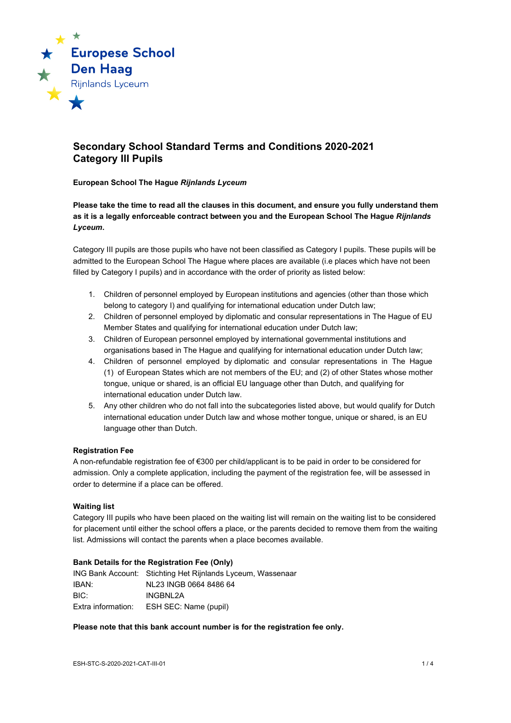

# **Secondary School Standard Terms and Conditions 2020-2021 Category III Pupils**

## **European School The Hague** *Rijnlands Lyceum*

**Please take the time to read all the clauses in this document, and ensure you fully understand them as it is a legally enforceable contract between you and the European School The Hague** *Rijnlands Lyceum***.**

Category III pupils are those pupils who have not been classified as Category I pupils. These pupils will be admitted to the European School The Hague where places are available (i.e places which have not been filled by Category I pupils) and in accordance with the order of priority as listed below:

- 1. Children of personnel employed by European institutions and agencies (other than those which belong to category I) and qualifying for international education under Dutch law;
- 2. Children of personnel employed by diplomatic and consular representations in The Hague of EU Member States and qualifying for international education under Dutch law;
- 3. Children of European personnel employed by international governmental institutions and organisations based in The Hague and qualifying for international education under Dutch law;
- 4. Children of personnel employed by diplomatic and consular representations in The Hague (1) of European States which are not members of the EU; and (2) of other States whose mother tongue, unique or shared, is an official EU language other than Dutch, and qualifying for international education under Dutch law.
- 5. Any other children who do not fall into the subcategories listed above, but would qualify for Dutch international education under Dutch law and whose mother tongue, unique or shared, is an EU language other than Dutch.

# **Registration Fee**

A non-refundable registration fee of €300 per child/applicant is to be paid in order to be considered for admission. Only a complete application, including the payment of the registration fee, will be assessed in order to determine if a place can be offered.

#### **Waiting list**

Category III pupils who have been placed on the waiting list will remain on the waiting list to be considered for placement until either the school offers a place, or the parents decided to remove them from the waiting list. Admissions will contact the parents when a place becomes available.

# **Bank Details for the Registration Fee (Only)**

|                    | ING Bank Account: Stichting Het Rijnlands Lyceum, Wassenaar |
|--------------------|-------------------------------------------------------------|
| IBAN:              | NL23 INGB 0664 8486 64                                      |
| BIC:               | INGBNL2A                                                    |
| Extra information: | ESH SEC: Name (pupil)                                       |

#### **Please note that this bank account number is for the registration fee only.**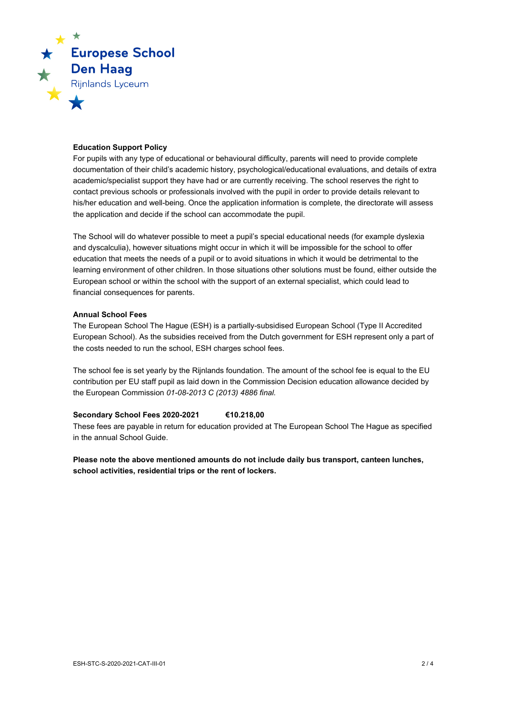

## **Education Support Policy**

For pupils with any type of educational or behavioural difficulty, parents will need to provide complete documentation of their child's academic history, psychological/educational evaluations, and details of extra academic/specialist support they have had or are currently receiving. The school reserves the right to contact previous schools or professionals involved with the pupil in order to provide details relevant to his/her education and well-being. Once the application information is complete, the directorate will assess the application and decide if the school can accommodate the pupil.

The School will do whatever possible to meet a pupil's special educational needs (for example dyslexia and dyscalculia), however situations might occur in which it will be impossible for the school to offer education that meets the needs of a pupil or to avoid situations in which it would be detrimental to the learning environment of other children. In those situations other solutions must be found, either outside the European school or within the school with the support of an external specialist, which could lead to financial consequences for parents.

#### **Annual School Fees**

The European School The Hague (ESH) is a partially-subsidised European School (Type II Accredited European School). As the subsidies received from the Dutch government for ESH represent only a part of the costs needed to run the school, ESH charges school fees.

The school fee is set yearly by the Rijnlands foundation. The amount of the school fee is equal to the EU contribution per EU staff pupil as laid down in the Commission Decision education allowance decided by the European Commission *01-08-2013 C (2013) 4886 final.*

# **Secondary School Fees 2020-2021 €10.218,00**

These fees are payable in return for education provided at The European School The Hague as specified in the annual School Guide.

**Please note the above mentioned amounts do not include daily bus transport, canteen lunches, school activities, residential trips or the rent of lockers.**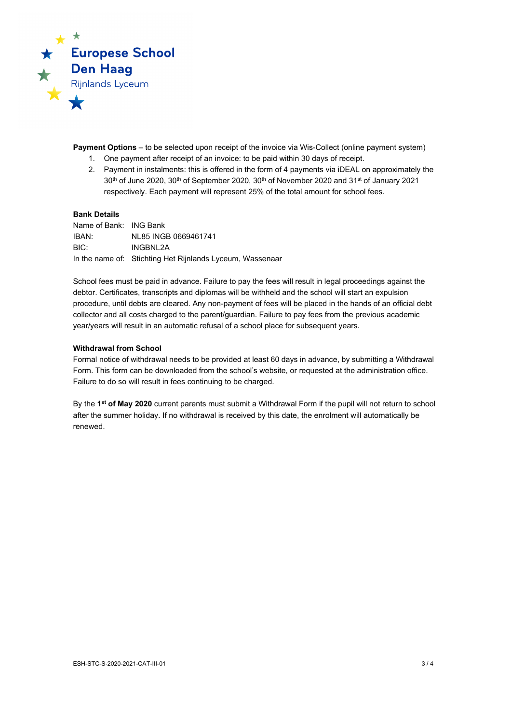

**Payment Options** – to be selected upon receipt of the invoice via Wis-Collect (online payment system)

- 1. One payment after receipt of an invoice: to be paid within 30 days of receipt.
- 2. Payment in instalments: this is offered in the form of 4 payments via iDEAL on approximately the  $30<sup>th</sup>$  of June 2020,  $30<sup>th</sup>$  of September 2020,  $30<sup>th</sup>$  of November 2020 and  $31<sup>st</sup>$  of January 2021 respectively. Each payment will represent 25% of the total amount for school fees.

#### **Bank Details**

| Name of Bank: ING Bank |                                                           |
|------------------------|-----------------------------------------------------------|
| IBAN:                  | NL85 INGB 0669461741                                      |
| BIC:                   | INGBNL2A                                                  |
|                        | In the name of: Stichting Het Rijnlands Lyceum, Wassenaar |

School fees must be paid in advance. Failure to pay the fees will result in legal proceedings against the debtor. Certificates, transcripts and diplomas will be withheld and the school will start an expulsion procedure, until debts are cleared. Any non-payment of fees will be placed in the hands of an official debt collector and all costs charged to the parent/guardian. Failure to pay fees from the previous academic year/years will result in an automatic refusal of a school place for subsequent years.

## **Withdrawal from School**

Formal notice of withdrawal needs to be provided at least 60 days in advance, by submitting a Withdrawal Form. This form can be downloaded from the school's website, or requested at the administration office. Failure to do so will result in fees continuing to be charged.

By the **1st of May 2020** current parents must submit a Withdrawal Form if the pupil will not return to school after the summer holiday. If no withdrawal is received by this date, the enrolment will automatically be renewed.